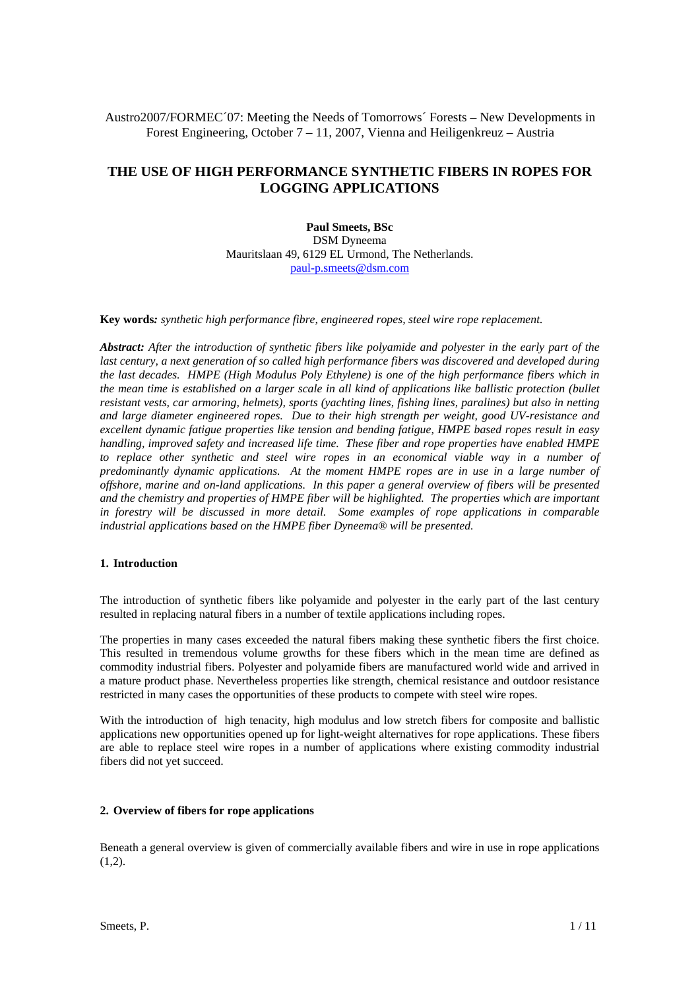# Austro2007/FORMEC´07: Meeting the Needs of Tomorrows´ Forests – New Developments in Forest Engineering, October 7 – 11, 2007, Vienna and Heiligenkreuz – Austria

# **THE USE OF HIGH PERFORMANCE SYNTHETIC FIBERS IN ROPES FOR LOGGING APPLICATIONS**

**Paul Smeets, BSc**  DSM Dyneema Mauritslaan 49, 6129 EL Urmond, The Netherlands. paul-p.smeets@dsm.com

**Key words***: synthetic high performance fibre, engineered ropes, steel wire rope replacement.* 

*Abstract: After the introduction of synthetic fibers like polyamide and polyester in the early part of the*  last century, a next generation of so called high performance fibers was discovered and developed during *the last decades. HMPE (High Modulus Poly Ethylene) is one of the high performance fibers which in the mean time is established on a larger scale in all kind of applications like ballistic protection (bullet resistant vests, car armoring, helmets), sports (yachting lines, fishing lines, paralines) but also in netting and large diameter engineered ropes. Due to their high strength per weight, good UV-resistance and excellent dynamic fatigue properties like tension and bending fatigue, HMPE based ropes result in easy handling, improved safety and increased life time. These fiber and rope properties have enabled HMPE to replace other synthetic and steel wire ropes in an economical viable way in a number of predominantly dynamic applications. At the moment HMPE ropes are in use in a large number of offshore, marine and on-land applications. In this paper a general overview of fibers will be presented and the chemistry and properties of HMPE fiber will be highlighted. The properties which are important in forestry will be discussed in more detail. Some examples of rope applications in comparable industrial applications based on the HMPE fiber Dyneema® will be presented.* 

#### **1. Introduction**

The introduction of synthetic fibers like polyamide and polyester in the early part of the last century resulted in replacing natural fibers in a number of textile applications including ropes.

The properties in many cases exceeded the natural fibers making these synthetic fibers the first choice. This resulted in tremendous volume growths for these fibers which in the mean time are defined as commodity industrial fibers. Polyester and polyamide fibers are manufactured world wide and arrived in a mature product phase. Nevertheless properties like strength, chemical resistance and outdoor resistance restricted in many cases the opportunities of these products to compete with steel wire ropes.

With the introduction of high tenacity, high modulus and low stretch fibers for composite and ballistic applications new opportunities opened up for light-weight alternatives for rope applications. These fibers are able to replace steel wire ropes in a number of applications where existing commodity industrial fibers did not yet succeed.

#### **2. Overview of fibers for rope applications**

Beneath a general overview is given of commercially available fibers and wire in use in rope applications  $(1,2)$ .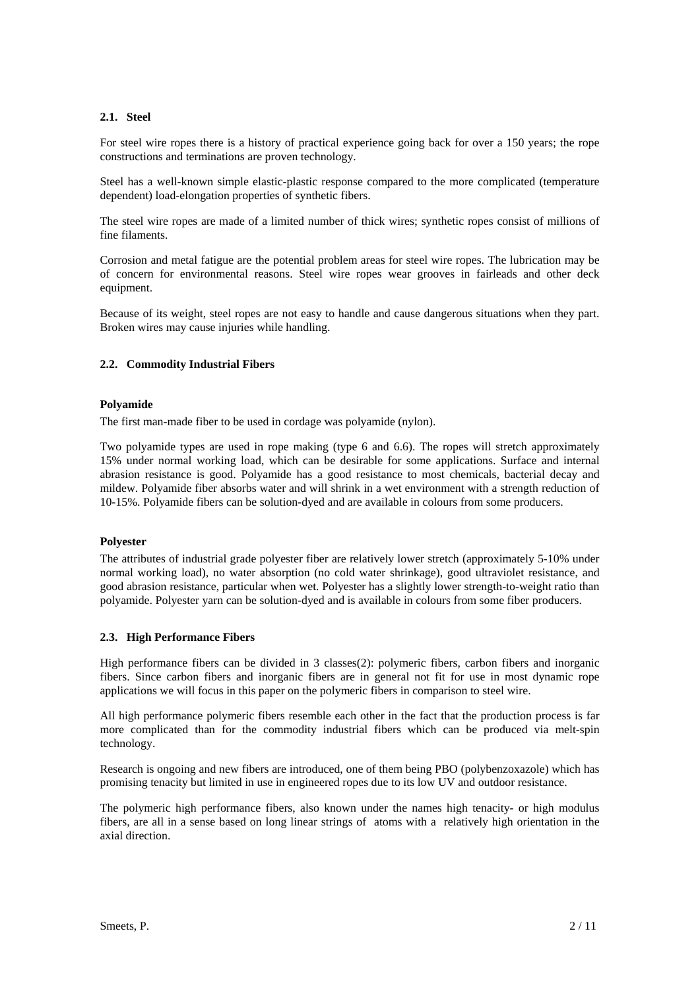## **2.1. Steel**

For steel wire ropes there is a history of practical experience going back for over a 150 years; the rope constructions and terminations are proven technology.

Steel has a well-known simple elastic-plastic response compared to the more complicated (temperature dependent) load-elongation properties of synthetic fibers.

The steel wire ropes are made of a limited number of thick wires; synthetic ropes consist of millions of fine filaments.

Corrosion and metal fatigue are the potential problem areas for steel wire ropes. The lubrication may be of concern for environmental reasons. Steel wire ropes wear grooves in fairleads and other deck equipment.

Because of its weight, steel ropes are not easy to handle and cause dangerous situations when they part. Broken wires may cause injuries while handling.

## **2.2. Commodity Industrial Fibers**

## **Polyamide**

The first man-made fiber to be used in cordage was polyamide (nylon).

Two polyamide types are used in rope making (type 6 and 6.6). The ropes will stretch approximately 15% under normal working load, which can be desirable for some applications. Surface and internal abrasion resistance is good. Polyamide has a good resistance to most chemicals, bacterial decay and mildew. Polyamide fiber absorbs water and will shrink in a wet environment with a strength reduction of 10-15%. Polyamide fibers can be solution-dyed and are available in colours from some producers.

## **Polyester**

The attributes of industrial grade polyester fiber are relatively lower stretch (approximately 5-10% under normal working load), no water absorption (no cold water shrinkage), good ultraviolet resistance, and good abrasion resistance, particular when wet. Polyester has a slightly lower strength-to-weight ratio than polyamide. Polyester yarn can be solution-dyed and is available in colours from some fiber producers.

## **2.3. High Performance Fibers**

High performance fibers can be divided in 3 classes(2): polymeric fibers, carbon fibers and inorganic fibers. Since carbon fibers and inorganic fibers are in general not fit for use in most dynamic rope applications we will focus in this paper on the polymeric fibers in comparison to steel wire.

All high performance polymeric fibers resemble each other in the fact that the production process is far more complicated than for the commodity industrial fibers which can be produced via melt-spin technology.

Research is ongoing and new fibers are introduced, one of them being PBO (polybenzoxazole) which has promising tenacity but limited in use in engineered ropes due to its low UV and outdoor resistance.

The polymeric high performance fibers, also known under the names high tenacity- or high modulus fibers, are all in a sense based on long linear strings of atoms with a relatively high orientation in the axial direction.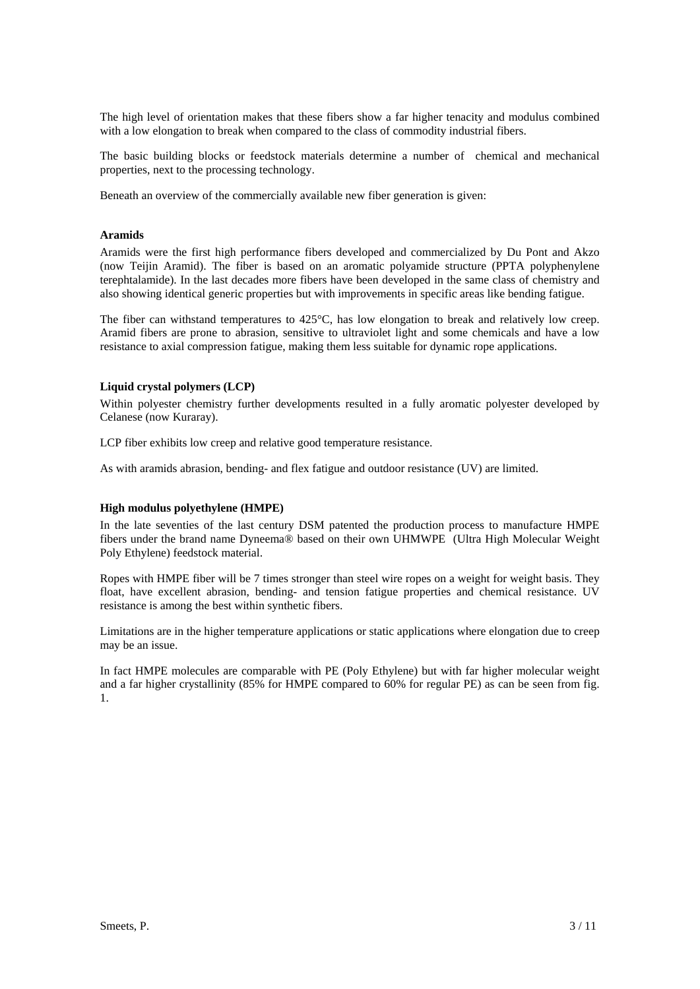The high level of orientation makes that these fibers show a far higher tenacity and modulus combined with a low elongation to break when compared to the class of commodity industrial fibers.

The basic building blocks or feedstock materials determine a number of chemical and mechanical properties, next to the processing technology.

Beneath an overview of the commercially available new fiber generation is given:

#### **Aramids**

Aramids were the first high performance fibers developed and commercialized by Du Pont and Akzo (now Teijin Aramid). The fiber is based on an aromatic polyamide structure (PPTA polyphenylene terephtalamide). In the last decades more fibers have been developed in the same class of chemistry and also showing identical generic properties but with improvements in specific areas like bending fatigue.

The fiber can withstand temperatures to 425°C, has low elongation to break and relatively low creep. Aramid fibers are prone to abrasion, sensitive to ultraviolet light and some chemicals and have a low resistance to axial compression fatigue, making them less suitable for dynamic rope applications.

#### **Liquid crystal polymers (LCP)**

Within polyester chemistry further developments resulted in a fully aromatic polyester developed by Celanese (now Kuraray).

LCP fiber exhibits low creep and relative good temperature resistance.

As with aramids abrasion, bending- and flex fatigue and outdoor resistance (UV) are limited.

#### **High modulus polyethylene (HMPE)**

In the late seventies of the last century DSM patented the production process to manufacture HMPE fibers under the brand name Dyneema® based on their own UHMWPE (Ultra High Molecular Weight Poly Ethylene) feedstock material.

Ropes with HMPE fiber will be 7 times stronger than steel wire ropes on a weight for weight basis. They float, have excellent abrasion, bending- and tension fatigue properties and chemical resistance. UV resistance is among the best within synthetic fibers.

Limitations are in the higher temperature applications or static applications where elongation due to creep may be an issue.

In fact HMPE molecules are comparable with PE (Poly Ethylene) but with far higher molecular weight and a far higher crystallinity (85% for HMPE compared to 60% for regular PE) as can be seen from fig. 1.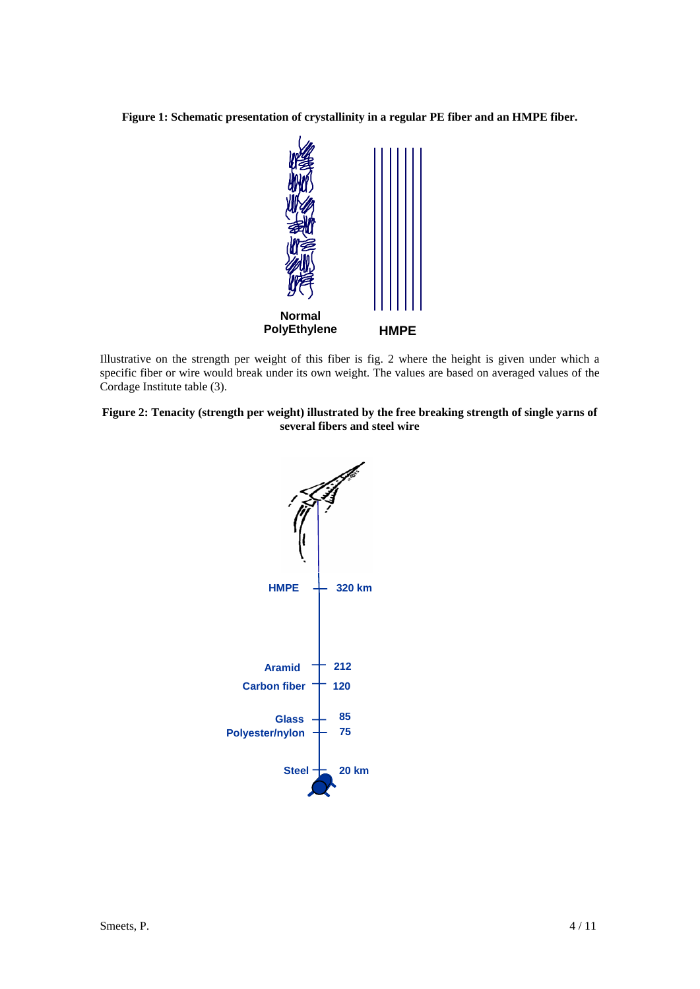**Figure 1: Schematic presentation of crystallinity in a regular PE fiber and an HMPE fiber.** 



Illustrative on the strength per weight of this fiber is fig. 2 where the height is given under which a specific fiber or wire would break under its own weight. The values are based on averaged values of the Cordage Institute table (3).



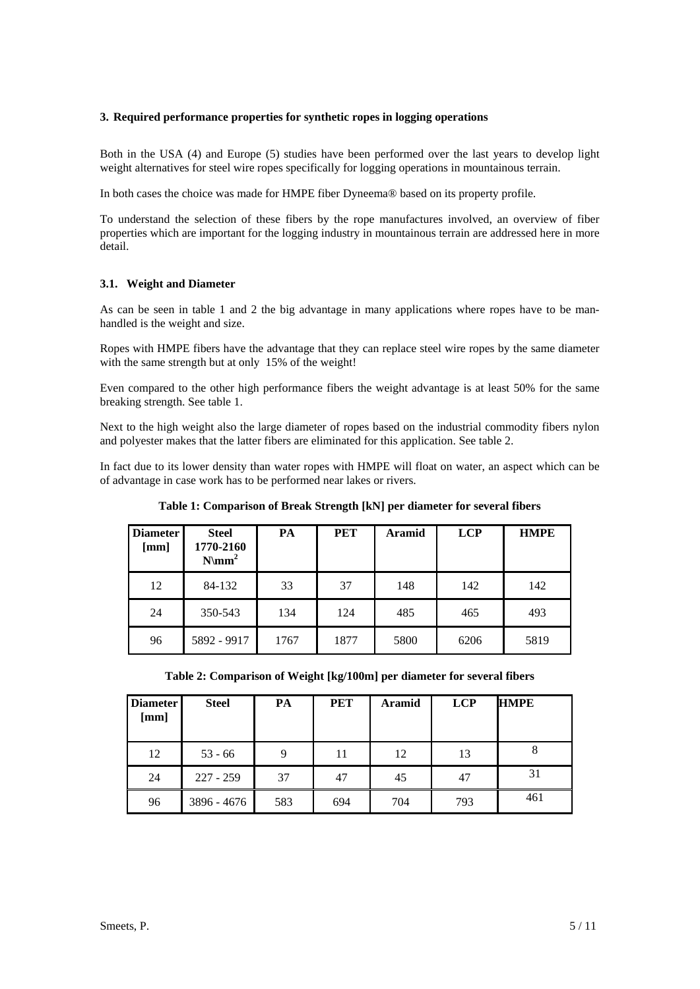## **3. Required performance properties for synthetic ropes in logging operations**

Both in the USA (4) and Europe (5) studies have been performed over the last years to develop light weight alternatives for steel wire ropes specifically for logging operations in mountainous terrain.

In both cases the choice was made for HMPE fiber Dyneema® based on its property profile.

To understand the selection of these fibers by the rope manufactures involved, an overview of fiber properties which are important for the logging industry in mountainous terrain are addressed here in more detail.

## **3.1. Weight and Diameter**

As can be seen in table 1 and 2 the big advantage in many applications where ropes have to be manhandled is the weight and size.

Ropes with HMPE fibers have the advantage that they can replace steel wire ropes by the same diameter with the same strength but at only 15% of the weight!

Even compared to the other high performance fibers the weight advantage is at least 50% for the same breaking strength. See table 1.

Next to the high weight also the large diameter of ropes based on the industrial commodity fibers nylon and polyester makes that the latter fibers are eliminated for this application. See table 2.

In fact due to its lower density than water ropes with HMPE will float on water, an aspect which can be of advantage in case work has to be performed near lakes or rivers.

| <b>Diameter</b><br>[mm] | <b>Steel</b><br>1770-2160<br>$N\right)$ | PA   | <b>PET</b> | <b>Aramid</b> | <b>LCP</b> | <b>HMPE</b> |
|-------------------------|-----------------------------------------|------|------------|---------------|------------|-------------|
| 12                      | 84-132                                  | 33   | 37         | 148           | 142        | 142         |
| 24                      | 350-543                                 | 134  | 124        | 485           | 465        | 493         |
| 96                      | 5892 - 9917                             | 1767 | 1877       | 5800          | 6206       | 5819        |

**Table 1: Comparison of Break Strength [kN] per diameter for several fibers** 

| Table 2: Comparison of Weight [kg/100m] per diameter for several fibers |  |
|-------------------------------------------------------------------------|--|
|-------------------------------------------------------------------------|--|

| <b>Diameter</b><br>[mm] | <b>Steel</b> | PA  | <b>PET</b> | <b>Aramid</b> | <b>LCP</b> | <b>HMPE</b> |
|-------------------------|--------------|-----|------------|---------------|------------|-------------|
| 12                      | $53 - 66$    | 9   | 11         | 12            | 13         |             |
| 24                      | $227 - 259$  | 37  | 47         | 45            | 47         | 31          |
| 96                      | 3896 - 4676  | 583 | 694        | 704           | 793        | 461         |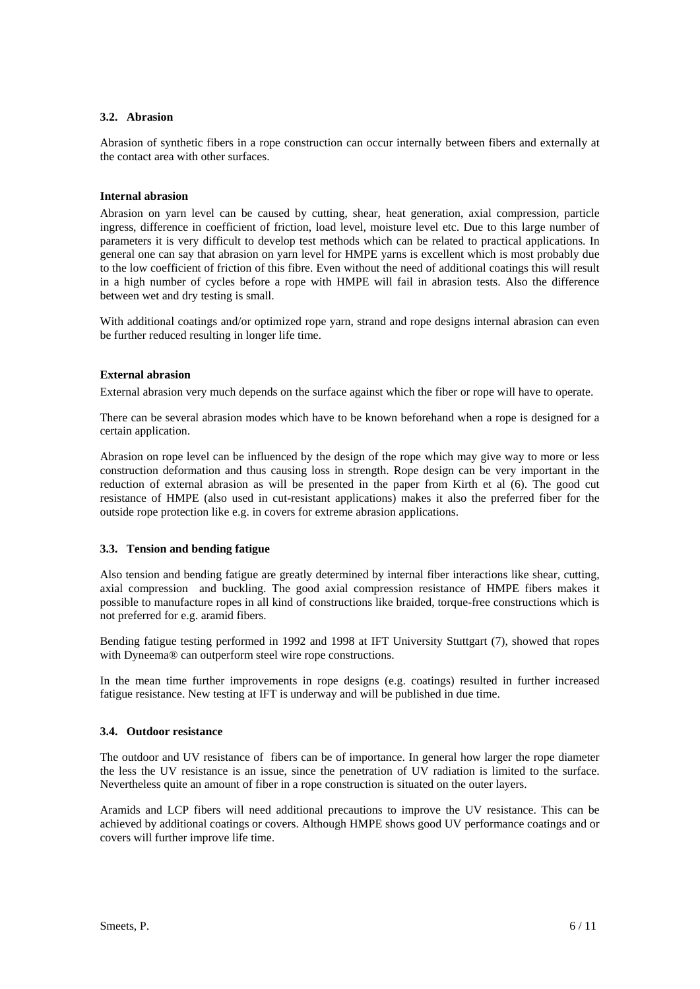## **3.2. Abrasion**

Abrasion of synthetic fibers in a rope construction can occur internally between fibers and externally at the contact area with other surfaces.

## **Internal abrasion**

Abrasion on yarn level can be caused by cutting, shear, heat generation, axial compression, particle ingress, difference in coefficient of friction, load level, moisture level etc. Due to this large number of parameters it is very difficult to develop test methods which can be related to practical applications. In general one can say that abrasion on yarn level for HMPE yarns is excellent which is most probably due to the low coefficient of friction of this fibre. Even without the need of additional coatings this will result in a high number of cycles before a rope with HMPE will fail in abrasion tests. Also the difference between wet and dry testing is small.

With additional coatings and/or optimized rope yarn, strand and rope designs internal abrasion can even be further reduced resulting in longer life time.

## **External abrasion**

External abrasion very much depends on the surface against which the fiber or rope will have to operate.

There can be several abrasion modes which have to be known beforehand when a rope is designed for a certain application.

Abrasion on rope level can be influenced by the design of the rope which may give way to more or less construction deformation and thus causing loss in strength. Rope design can be very important in the reduction of external abrasion as will be presented in the paper from Kirth et al (6). The good cut resistance of HMPE (also used in cut-resistant applications) makes it also the preferred fiber for the outside rope protection like e.g. in covers for extreme abrasion applications.

## **3.3. Tension and bending fatigue**

Also tension and bending fatigue are greatly determined by internal fiber interactions like shear, cutting, axial compression and buckling. The good axial compression resistance of HMPE fibers makes it possible to manufacture ropes in all kind of constructions like braided, torque-free constructions which is not preferred for e.g. aramid fibers.

Bending fatigue testing performed in 1992 and 1998 at IFT University Stuttgart (7), showed that ropes with Dyneema® can outperform steel wire rope constructions.

In the mean time further improvements in rope designs (e.g. coatings) resulted in further increased fatigue resistance. New testing at IFT is underway and will be published in due time.

## **3.4. Outdoor resistance**

The outdoor and UV resistance of fibers can be of importance. In general how larger the rope diameter the less the UV resistance is an issue, since the penetration of UV radiation is limited to the surface. Nevertheless quite an amount of fiber in a rope construction is situated on the outer layers.

Aramids and LCP fibers will need additional precautions to improve the UV resistance. This can be achieved by additional coatings or covers. Although HMPE shows good UV performance coatings and or covers will further improve life time.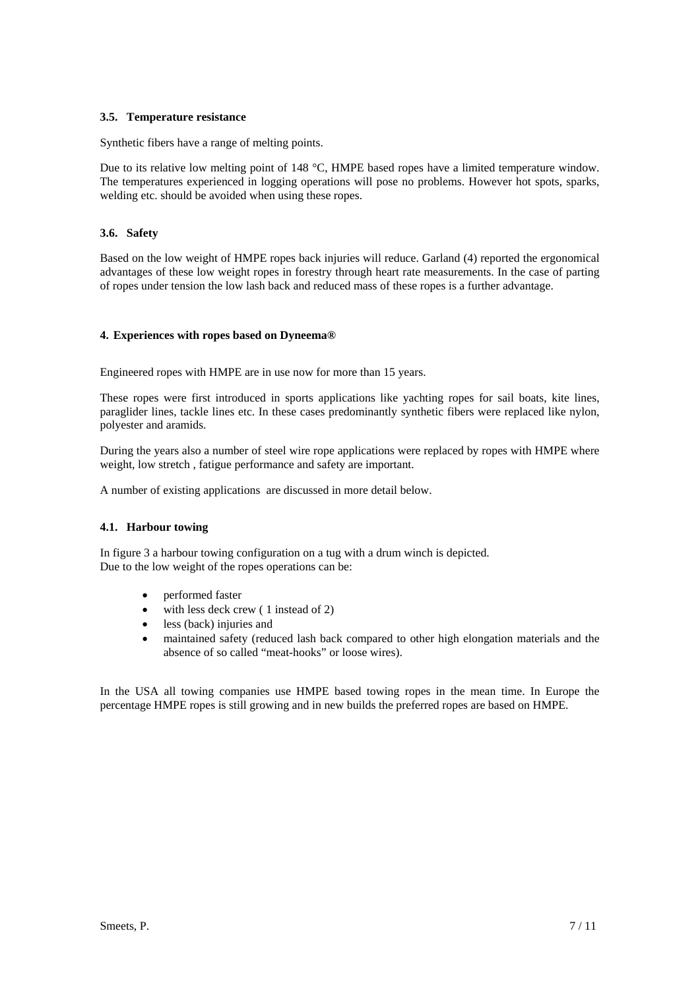## **3.5. Temperature resistance**

Synthetic fibers have a range of melting points.

Due to its relative low melting point of 148 °C, HMPE based ropes have a limited temperature window. The temperatures experienced in logging operations will pose no problems. However hot spots, sparks, welding etc. should be avoided when using these ropes.

## **3.6. Safety**

Based on the low weight of HMPE ropes back injuries will reduce. Garland (4) reported the ergonomical advantages of these low weight ropes in forestry through heart rate measurements. In the case of parting of ropes under tension the low lash back and reduced mass of these ropes is a further advantage.

## **4. Experiences with ropes based on Dyneema®**

Engineered ropes with HMPE are in use now for more than 15 years.

These ropes were first introduced in sports applications like yachting ropes for sail boats, kite lines, paraglider lines, tackle lines etc. In these cases predominantly synthetic fibers were replaced like nylon, polyester and aramids.

During the years also a number of steel wire rope applications were replaced by ropes with HMPE where weight, low stretch , fatigue performance and safety are important.

A number of existing applications are discussed in more detail below.

## **4.1. Harbour towing**

In figure 3 a harbour towing configuration on a tug with a drum winch is depicted. Due to the low weight of the ropes operations can be:

- performed faster
- with less deck crew (1 instead of 2)
- less (back) injuries and
- maintained safety (reduced lash back compared to other high elongation materials and the absence of so called "meat-hooks" or loose wires).

In the USA all towing companies use HMPE based towing ropes in the mean time. In Europe the percentage HMPE ropes is still growing and in new builds the preferred ropes are based on HMPE.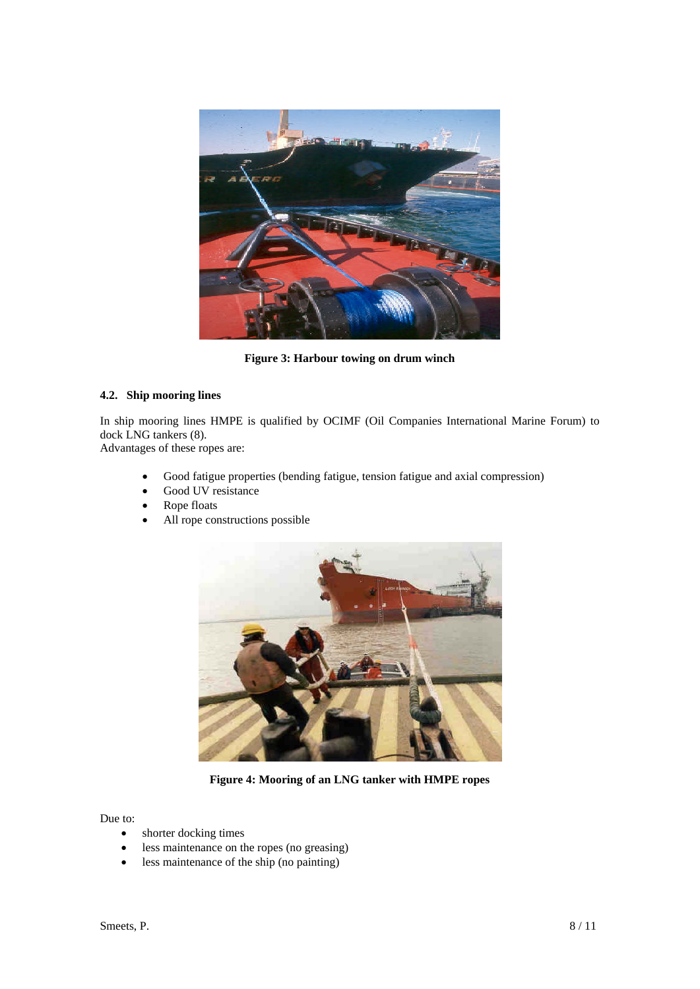

**Figure 3: Harbour towing on drum winch** 

## **4.2. Ship mooring lines**

In ship mooring lines HMPE is qualified by OCIMF (Oil Companies International Marine Forum) to dock LNG tankers (8).

Advantages of these ropes are:

- Good fatigue properties (bending fatigue, tension fatigue and axial compression)
- Good UV resistance
- Rope floats
- All rope constructions possible



**Figure 4: Mooring of an LNG tanker with HMPE ropes** 

Due to:

- shorter docking times
- less maintenance on the ropes (no greasing)
- less maintenance of the ship (no painting)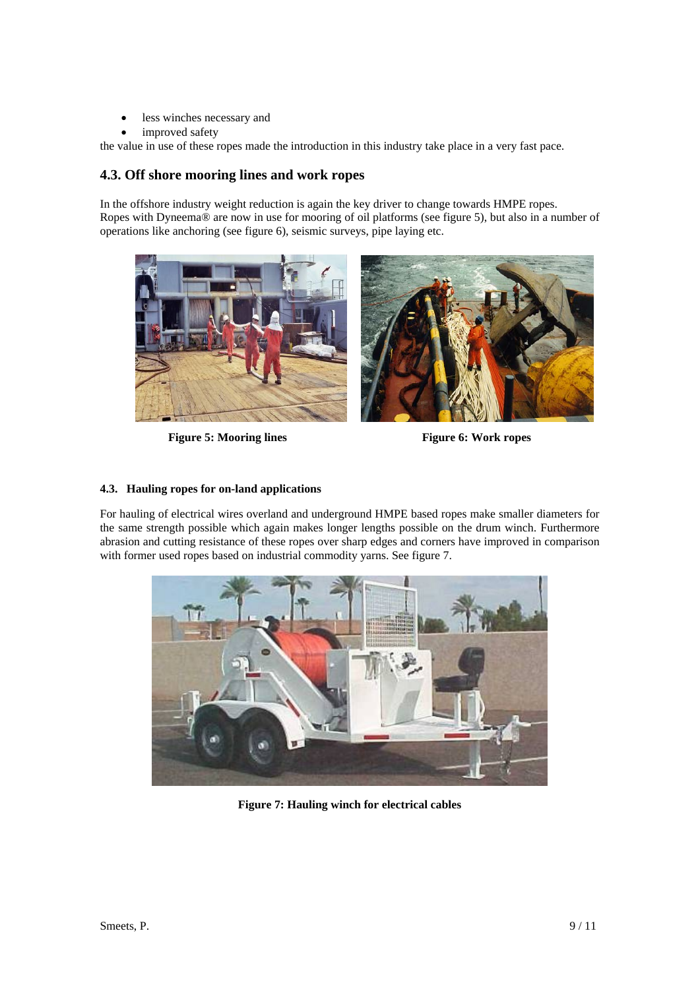- less winches necessary and
- improved safety

the value in use of these ropes made the introduction in this industry take place in a very fast pace.

# **4.3. Off shore mooring lines and work ropes**

In the offshore industry weight reduction is again the key driver to change towards HMPE ropes. Ropes with Dyneema® are now in use for mooring of oil platforms (see figure 5), but also in a number of operations like anchoring (see figure 6), seismic surveys, pipe laying etc.



**Figure 5: Mooring lines** Figure 6: Work ropes

## **4.3. Hauling ropes for on-land applications**

For hauling of electrical wires overland and underground HMPE based ropes make smaller diameters for the same strength possible which again makes longer lengths possible on the drum winch. Furthermore abrasion and cutting resistance of these ropes over sharp edges and corners have improved in comparison with former used ropes based on industrial commodity yarns. See figure 7.



**Figure 7: Hauling winch for electrical cables**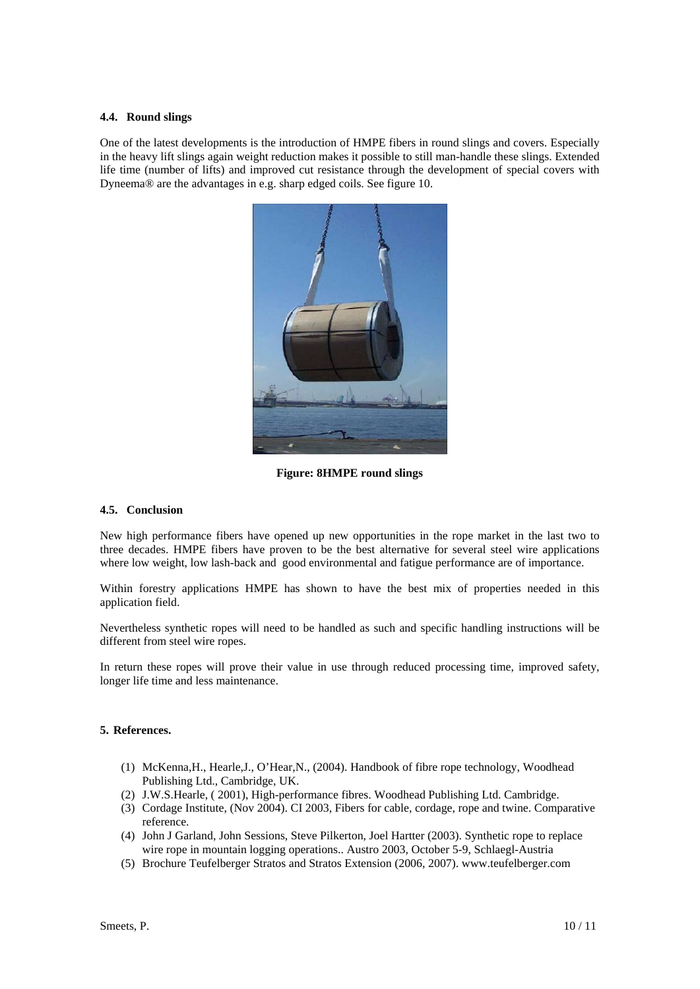#### **4.4. Round slings**

One of the latest developments is the introduction of HMPE fibers in round slings and covers. Especially in the heavy lift slings again weight reduction makes it possible to still man-handle these slings. Extended life time (number of lifts) and improved cut resistance through the development of special covers with Dyneema® are the advantages in e.g. sharp edged coils. See figure 10.



**Figure: 8HMPE round slings** 

#### **4.5. Conclusion**

New high performance fibers have opened up new opportunities in the rope market in the last two to three decades. HMPE fibers have proven to be the best alternative for several steel wire applications where low weight, low lash-back and good environmental and fatigue performance are of importance.

Within forestry applications HMPE has shown to have the best mix of properties needed in this application field.

Nevertheless synthetic ropes will need to be handled as such and specific handling instructions will be different from steel wire ropes.

In return these ropes will prove their value in use through reduced processing time, improved safety, longer life time and less maintenance.

## **5. References.**

- (1) McKenna,H., Hearle,J., O'Hear,N., (2004). Handbook of fibre rope technology, Woodhead Publishing Ltd., Cambridge, UK.
- (2) J.W.S.Hearle, ( 2001), High-performance fibres. Woodhead Publishing Ltd. Cambridge.
- (3) Cordage Institute, (Nov 2004). CI 2003, Fibers for cable, cordage, rope and twine. Comparative reference.
- (4) John J Garland, John Sessions, Steve Pilkerton, Joel Hartter (2003). Synthetic rope to replace wire rope in mountain logging operations.. Austro 2003, October 5-9, Schlaegl-Austria
- (5) Brochure Teufelberger Stratos and Stratos Extension (2006, 2007). www.teufelberger.com